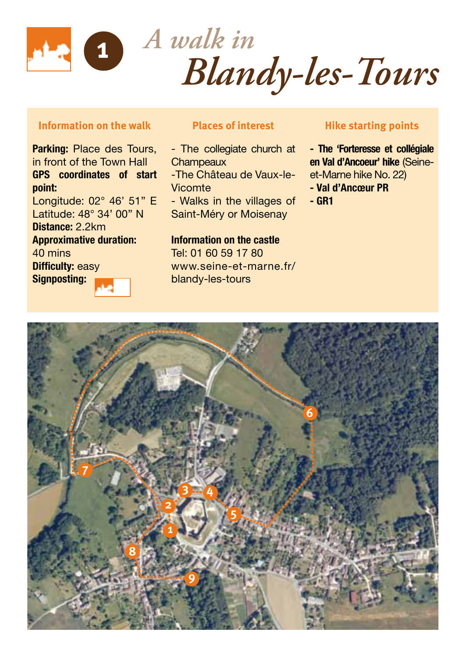

*A walk in Blandy-les-Tours* **<sup>1</sup>**

## **Information on the walk**

Parking: Place des Tours, in front of the Town Hall GPS coordinates of start point: Longitude: 02° 46' 51'' E Latitude: 48° 34' 00'' N Distance: 2.2km Approximative duration: 40 mins **Difficulty: easy** Signposting:

## **Places of interest**

- The collegiate church at **Champeaux** -The Château de Vaux-le-Vicomte - Walks in the villages of Saint-Méry or Moisenay

Information on the castle

Tel: 01 60 59 17 80 www.seine-et-marne.fr/ blandy-les-tours

## **Hike starting points**

- The 'Forteresse et collégiale en Val d'Ancoeur' hike (Seineet-Marne hike No. 22)
- Val d'Ancœur PR
- GR1